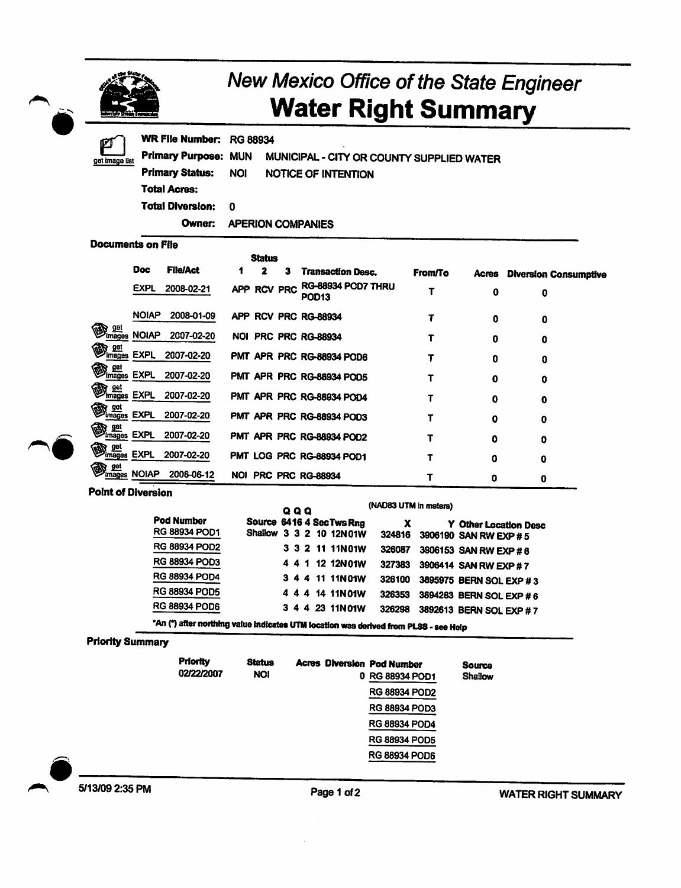|                                     |                                                                                      |                                             |        |  |                                                      | <b>New Mexico Office of the State Engineer</b><br><b>Water Right Summary</b> |                |                                                       |  |                              |
|-------------------------------------|--------------------------------------------------------------------------------------|---------------------------------------------|--------|--|------------------------------------------------------|------------------------------------------------------------------------------|----------------|-------------------------------------------------------|--|------------------------------|
| get image list                      | <b>WR File Number:</b><br><b>Primary Purpose:</b><br><b>Primary Status:</b>          | <b>RG 88934</b><br><b>MUN</b><br><b>NOI</b> |        |  | <b>NOTICE OF INTENTION</b>                           | MUNICIPAL - CITY OR COUNTY SUPPLIED WATER                                    |                |                                                       |  |                              |
|                                     | <b>Total Acres:</b>                                                                  |                                             |        |  |                                                      |                                                                              |                |                                                       |  |                              |
|                                     | <b>Total Diversion:</b>                                                              | 0                                           |        |  |                                                      |                                                                              |                |                                                       |  |                              |
|                                     | Owner:                                                                               | <b>APERION COMPANIES</b>                    |        |  |                                                      |                                                                              |                |                                                       |  |                              |
| <b>Documents on File</b>            |                                                                                      |                                             |        |  |                                                      |                                                                              |                |                                                       |  |                              |
|                                     |                                                                                      |                                             | Status |  |                                                      |                                                                              |                |                                                       |  |                              |
|                                     | Doc<br><b>File/Act</b>                                                               | 1                                           | 2<br>3 |  | <b>Transaction Desc.</b>                             |                                                                              | <b>From/To</b> | Acres                                                 |  | <b>Diversion Consumptive</b> |
|                                     | EXPL<br>2008-02-21                                                                   |                                             |        |  | APP RCV PRC RG-88934 POD7 THRU<br>POD13              |                                                                              | T              | 0                                                     |  | 0                            |
|                                     | <b>NOIAP</b><br>2008-01-09                                                           |                                             |        |  | APP RCV PRC RG-88934                                 |                                                                              | T              | 0                                                     |  | 0                            |
| get<br><i>images</i>                | <b>NOIAP</b><br>2007-02-20                                                           |                                             |        |  | NOI PRC PRC RG-88934                                 |                                                                              | τ              | 0                                                     |  | 0                            |
| <b>BR</b> get EXPL                  | 2007-02-20                                                                           |                                             |        |  | PMT APR PRC RG-88934 POD6                            |                                                                              | т              | 0                                                     |  | 0                            |
| <b>ED</b> get                       | <b>EXPL</b><br>2007-02-20                                                            |                                             |        |  | PMT APR PRC RG-88934 POD5                            |                                                                              | т              | 0                                                     |  | 0                            |
| <b>R</b> get<br>Images EXPL         | 2007-02-20                                                                           |                                             |        |  | PMT APR PRC RG-88934 POD4                            |                                                                              | T              | 0                                                     |  | 0                            |
| <b>Brades</b> EXPL                  | 2007-02-20                                                                           |                                             |        |  | PMT APR PRC RG-88934 POD3                            |                                                                              | T              | 0                                                     |  | 0                            |
| <b>Explored</b><br><i>EXPL</i>      | 2007-02-20                                                                           |                                             |        |  | PMT APR PRC RG-88934 POD2                            |                                                                              | т              | 0                                                     |  | 0                            |
| ) <u>get</u><br>i <u>mages</u> EXPL | 2007-02-20                                                                           |                                             |        |  | PMT LOG PRC RG-88934 POD1                            |                                                                              | τ              | 0                                                     |  | 0                            |
| S get<br><i>Images</i> NOIAP        | 2006-06-12                                                                           | NOI PRC PRC RG-88934                        |        |  |                                                      |                                                                              | Τ              | o                                                     |  | 0                            |
| <b>Point of Diversion</b>           |                                                                                      |                                             |        |  |                                                      |                                                                              |                |                                                       |  |                              |
|                                     |                                                                                      | Q Q Q                                       |        |  |                                                      | (NAD83 UTM in meters)                                                        |                |                                                       |  |                              |
|                                     | Pod Number<br>RG 88934 POD1                                                          |                                             |        |  | Source 6416 4 SecTws Rng<br>Shallow 3 3 2 10 12N 01W | X<br>324816                                                                  |                | <b>Y</b> Other Location Desc<br>3906190 SAN RW EXP #5 |  |                              |
|                                     | RG 88934 POD2                                                                        |                                             |        |  | 3 3 2 11 11N01W                                      | 326087                                                                       |                | 3906153 SAN RW EXP # 6                                |  |                              |
|                                     | <b>RG 88934 POD3</b>                                                                 |                                             |        |  | 4 4 1 12 12N01W                                      | 327383                                                                       |                | 3906414 SAN RW EXP #7                                 |  |                              |
|                                     | <b>RG 88934 POD4</b>                                                                 |                                             |        |  | 3 4 4 11 11N01W                                      | 326100                                                                       |                | 3895975 BERN SOL EXP #3                               |  |                              |
|                                     | RG 88934 POD5                                                                        |                                             |        |  | 4 4 14 11N 01W                                       | 326353                                                                       |                | 3894283 BERN SOL EXP # 6                              |  |                              |
|                                     | <b>RG 88934 POD6</b>                                                                 |                                             |        |  | 3 4 4 23 11N 01W                                     | 326298                                                                       |                | 3892613 BERN SOL EXP #7                               |  |                              |
| <b>Priority Summary</b>             | "An (") after northing value indicates UTM location was derived from PLSS - see Help |                                             |        |  |                                                      |                                                                              |                |                                                       |  |                              |
|                                     | <b>Priority</b>                                                                      |                                             |        |  |                                                      |                                                                              |                |                                                       |  |                              |
|                                     | 02/22/2007                                                                           | Status<br><b>NOI</b>                        |        |  |                                                      | <b>Acres Diversion Pod Number</b><br>0 RG 88934 POD1                         |                | <b>Source</b><br>Shallow                              |  |                              |
|                                     |                                                                                      |                                             |        |  |                                                      | <b>RG 88934 POD2</b>                                                         |                |                                                       |  |                              |
|                                     |                                                                                      |                                             |        |  |                                                      | <b>RG 88934 POD3</b>                                                         |                |                                                       |  |                              |
|                                     |                                                                                      |                                             |        |  |                                                      |                                                                              |                |                                                       |  |                              |
|                                     |                                                                                      |                                             |        |  |                                                      | <b>RG 88934 POD4</b>                                                         |                |                                                       |  |                              |
|                                     |                                                                                      |                                             |        |  |                                                      | <b>RG 88934 POD5</b>                                                         |                |                                                       |  |                              |
|                                     |                                                                                      |                                             |        |  |                                                      | <b>RG 88934 POD6</b>                                                         |                |                                                       |  |                              |
| 5/13/09 2:35 PM                     |                                                                                      |                                             |        |  |                                                      |                                                                              |                |                                                       |  |                              |

 $\mathcal{L}_{\mathcal{A}}$